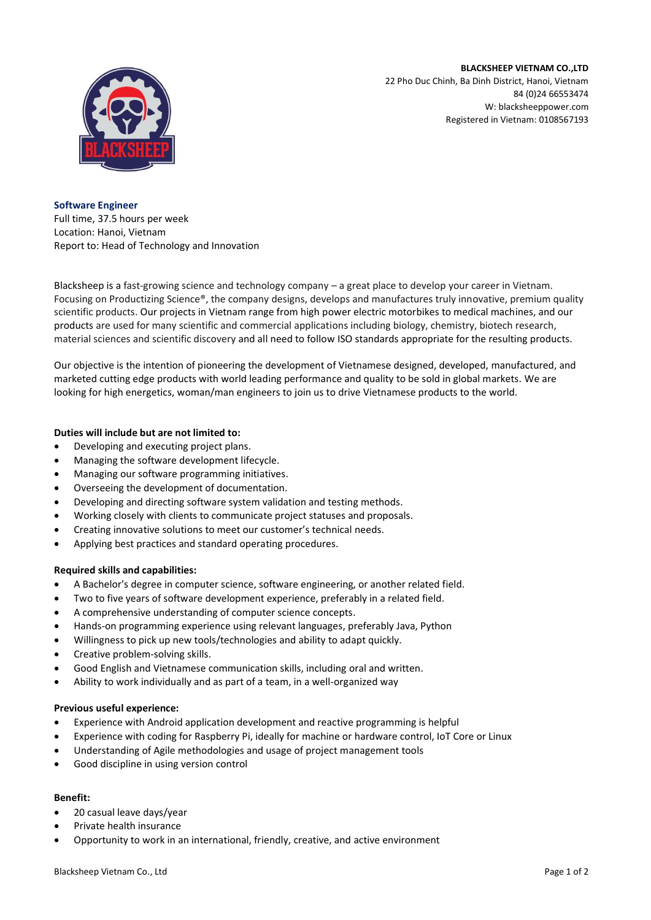**BLACKSHEEP VIETNAM CO.,LTD**



22 Pho Duc Chinh, Ba Dinh District, Hanoi, Vietnam 84 (0)24 66553474 W: blacksheeppower.com Registered in Vietnam: 0108567193

**Software Engineer**  Full time, 37.5 hours per week Location: Hanoi, Vietnam Report to: Head of Technology and Innovation

Blacksheep is a fast-growing science and technology company – a great place to develop your career in Vietnam. Focusing on Productizing Science®, the company designs, develops and manufactures truly innovative, premium quality scientific products. Our projects in Vietnam range from high power electric motorbikes to medical machines, and our products are used for many scientific and commercial applications including biology, chemistry, biotech research, material sciences and scientific discovery and all need to follow ISO standards appropriate for the resulting products.

Our objective is the intention of pioneering the development of Vietnamese designed, developed, manufactured, and marketed cutting edge products with world leading performance and quality to be sold in global markets. We are looking for high energetics, woman/man engineers to join us to drive Vietnamese products to the world.

## **Duties will include but are not limited to:**

- Developing and executing project plans.
- Managing the software development lifecycle.
- Managing our software programming initiatives.
- Overseeing the development of documentation.
- Developing and directing software system validation and testing methods.
- Working closely with clients to communicate project statuses and proposals.
- Creating innovative solutions to meet our customer's technical needs.
- Applying best practices and standard operating procedures.

## **Required skills and capabilities:**

- A Bachelor's degree in computer science, software engineering, or another related field.
- Two to five years of software development experience, preferably in a related field.
- A comprehensive understanding of computer science concepts.
- Hands-on programming experience using relevant languages, preferably Java, Python
- Willingness to pick up new tools/technologies and ability to adapt quickly.
- Creative problem-solving skills.
- Good English and Vietnamese communication skills, including oral and written.
- Ability to work individually and as part of a team, in a well-organized way

## **Previous useful experience:**

- Experience with Android application development and reactive programming is helpful
- Experience with coding for Raspberry Pi, ideally for machine or hardware control, IoT Core or Linux
- Understanding of Agile methodologies and usage of project management tools
- Good discipline in using version control

## **Benefit:**

- 20 casual leave days/year
- Private health insurance
- Opportunity to work in an international, friendly, creative, and active environment